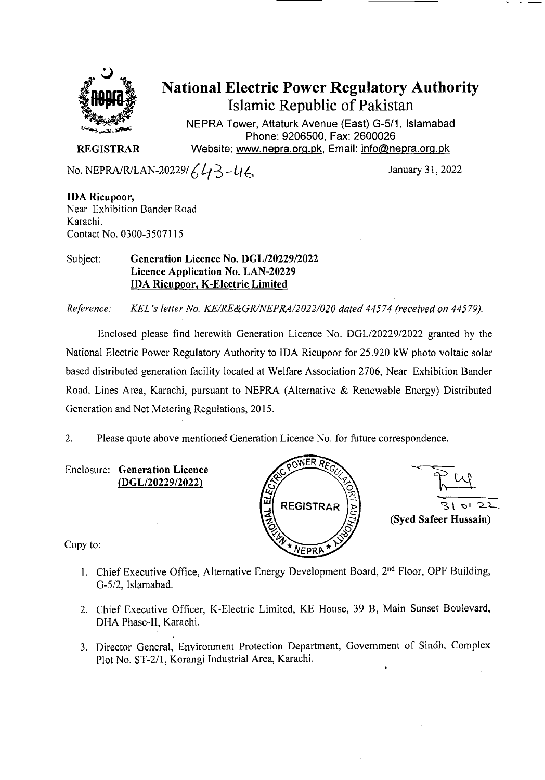

# **National Electric Power Regulatory Authority**  Islamic Republic of Pakistan

NEPRA Tower, Attaturk Avenue (East) G-5/1, Islamabad Phone: 9206500, Fax: 2600026 **REGISTRAR** Website: www.nepra.org.pk, Email: info@nepra.org.pk

No. NEPRA/R/LAN-20229/ $643 - 46$  January 31, 2022

**IDA Ricu poor,**  Near Exhibition Bander Road Karachi. Contact No. 0300-3507115

#### Subject: **Generation Licence No. DGL/20229/2022**  Licence Application No. LAN-20229 **IDA Ricupoor, K-Electric Limited**

*Reference: KEL 's letter No. KE/RE&GRINEPRA/2022/020 dated 44574 (received on 44579,).* 

Enclosed please find herewith Generation Licence No. *DGL12022912022* granted by the National Electric Power Regulatory Authority to IDA Ricupoor for 25.920 kW photo voltaic solar based distributed generation facility located at Welfare Association 2706, Near Exhibition Bander Road, Lines Area, Karachi, pursuant to NEPRA (Alternative & Renewable Energy) Distributed Generation and Net Metering Regulations, 2015.

2. Please quote above mentioned Generation Licence No. for future correspondence.

Enclosure: **Generation Licence**  (DGL/20229/2022)





Copy to:

- 1. Chief Executive Office, Alternative Energy Development Board, 2<sup>nd</sup> Floor, OPF Building, G-5/2, Islamabad.
- 2. Chief Executive Officer, K-Electric Limited, KE House, 39 B, Main Sunset Boulevard, DHA Phase-Il, Karachi.
- 3. Director General, Environment Protection Department, Government of Sindh, Complex Plot No. *ST-211,* Korangi Industrial Area, Karachi.